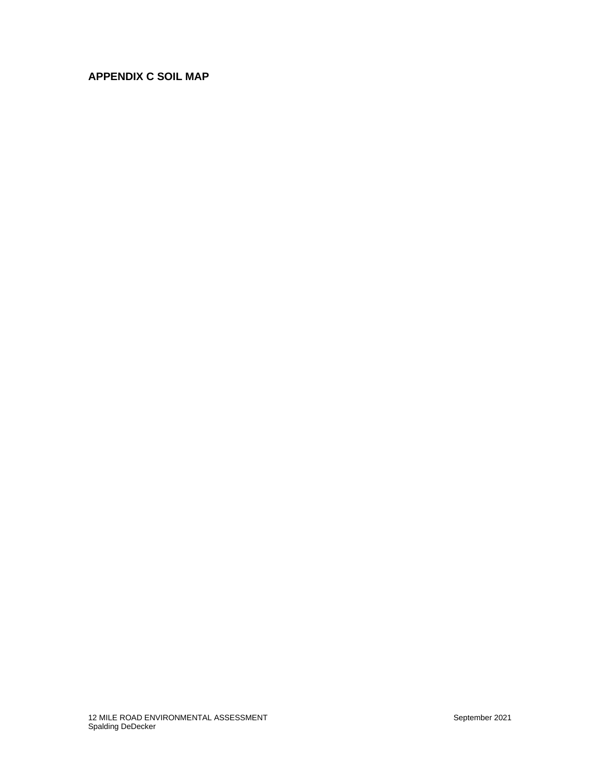## **APPENDIX C SOIL MAP**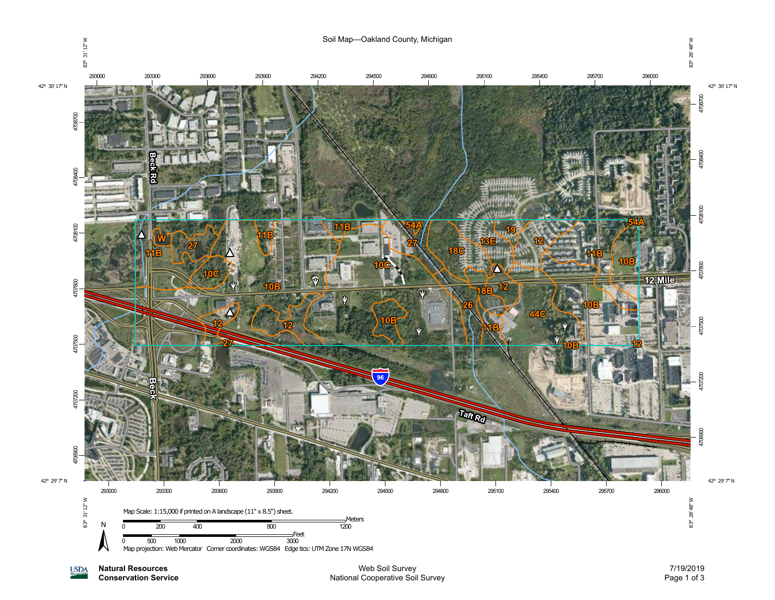

**Natural Resources USDA** 

**Conservation Service**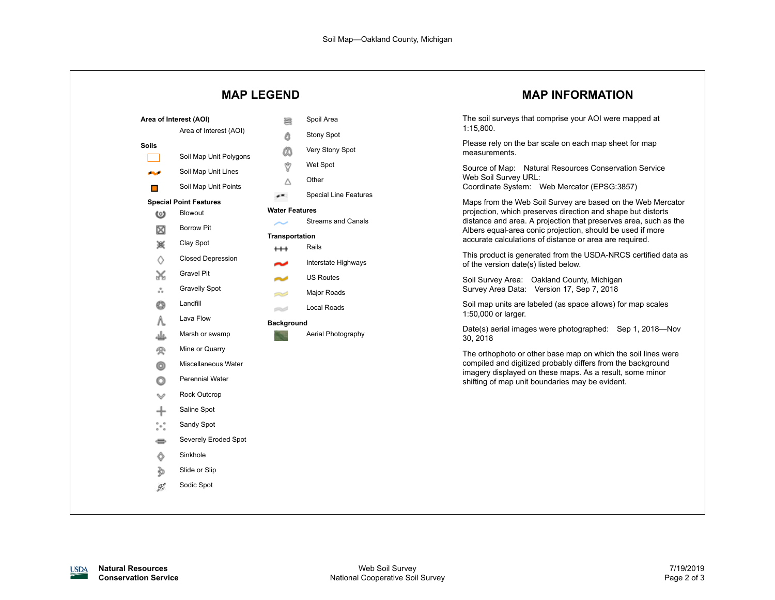| <b>MAP LEGEND</b>                                                                                 |                                                                        | <b>MAP INFORMATION</b>                                                                                                                                                                                                                                    |  |
|---------------------------------------------------------------------------------------------------|------------------------------------------------------------------------|-----------------------------------------------------------------------------------------------------------------------------------------------------------------------------------------------------------------------------------------------------------|--|
| Area of Interest (AOI)<br>Area of Interest (AOI)                                                  | Spoil Area<br>르<br><b>Stony Spot</b><br>Δ                              | The soil surveys that comprise your AOI were mapped at<br>1:15,800.                                                                                                                                                                                       |  |
| Soils<br>Soil Map Unit Polygons                                                                   | Very Stony Spot<br>ΰð<br>Ÿ<br>Wet Spot                                 | Please rely on the bar scale on each map sheet for map<br>measurements.<br>Source of Map: Natural Resources Conservation Service                                                                                                                          |  |
| Soil Map Unit Lines<br>المحالي<br>Soil Map Unit Points<br>$\Box$<br><b>Special Point Features</b> | Other<br>Δ<br><b>Special Line Features</b><br>$\overline{\phantom{a}}$ | Web Soil Survey URL:<br>Coordinate System: Web Mercator (EPSG:3857)<br>Maps from the Web Soil Survey are based on the Web Mercator                                                                                                                        |  |
| Blowout<br>అ<br><b>Borrow Pit</b><br>⊠<br>篆<br>Clay Spot                                          | <b>Water Features</b><br><b>Streams and Canals</b><br>Transportation   | projection, which preserves direction and shape but distorts<br>distance and area. A projection that preserves area, such as the<br>Albers equal-area conic projection, should be used if more<br>accurate calculations of distance or area are required. |  |
| <b>Closed Depression</b><br>♦<br><b>Gravel Pit</b>                                                | Rails<br>$^{\rm ++}$<br>Interstate Highways                            | This product is generated from the USDA-NRCS certified data as<br>of the version date(s) listed below.                                                                                                                                                    |  |
| X<br><b>Gravelly Spot</b><br>៓៓<br>Landfill<br>O                                                  | <b>US Routes</b><br>المسالح<br>Major Roads<br>S<br>Local Roads<br>e S  | Soil Survey Area: Oakland County, Michigan<br>Survey Area Data: Version 17, Sep 7, 2018<br>Soil map units are labeled (as space allows) for map scales                                                                                                    |  |
| Lava Flow<br>Λ.<br>Marsh or swamp<br>طه                                                           | <b>Background</b><br>Aerial Photography                                | 1:50,000 or larger.<br>Date(s) aerial images were photographed: Sep 1, 2018-Nov<br>30, 2018                                                                                                                                                               |  |
| Mine or Quarry<br>參<br>Miscellaneous Water<br>ග<br><b>Perennial Water</b><br>O                    |                                                                        | The orthophoto or other base map on which the soil lines were<br>compiled and digitized probably differs from the background<br>imagery displayed on these maps. As a result, some minor<br>shifting of map unit boundaries may be evident.               |  |
| <b>Rock Outcrop</b><br>v<br>Saline Spot<br>⊹                                                      |                                                                        |                                                                                                                                                                                                                                                           |  |
| $\degree\degree$<br>Sandy Spot<br>Severely Eroded Spot<br>⇔<br>Sinkhole<br>Ô                      |                                                                        |                                                                                                                                                                                                                                                           |  |
| Slide or Slip<br>∌<br>Sodic Spot<br>ø                                                             |                                                                        |                                                                                                                                                                                                                                                           |  |